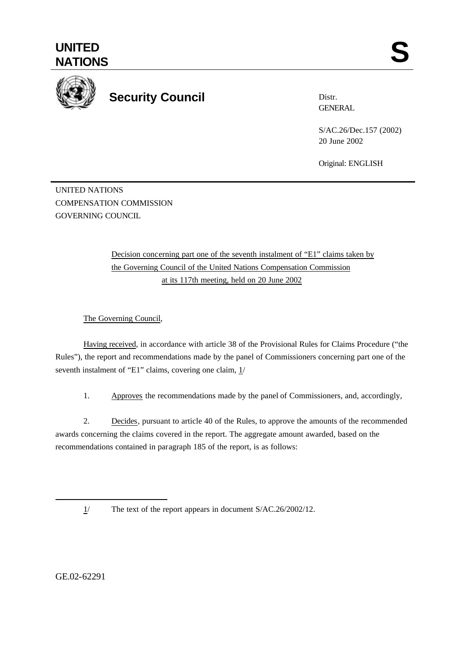

## **Security Council**

Distr. GENERAL

S/AC.26/Dec.157 (2002) 20 June 2002

Original: ENGLISH

UNITED NATIONS COMPENSATION COMMISSION GOVERNING COUNCIL

> Decision concerning part one of the seventh instalment of "E1" claims taken by the Governing Council of the United Nations Compensation Commission at its 117th meeting, held on 20 June 2002

The Governing Council,

Having received, in accordance with article 38 of the Provisional Rules for Claims Procedure ("the Rules"), the report and recommendations made by the panel of Commissioners concerning part one of the seventh instalment of "E1" claims, covering one claim,  $1/$ 

1. Approves the recommendations made by the panel of Commissioners, and, accordingly,

2. Decides, pursuant to article 40 of the Rules, to approve the amounts of the recommended awards concerning the claims covered in the report. The aggregate amount awarded, based on the recommendations contained in paragraph 185 of the report, is as follows:

1/ The text of the report appears in document S/AC.26/2002/12.

GE.02-62291

l